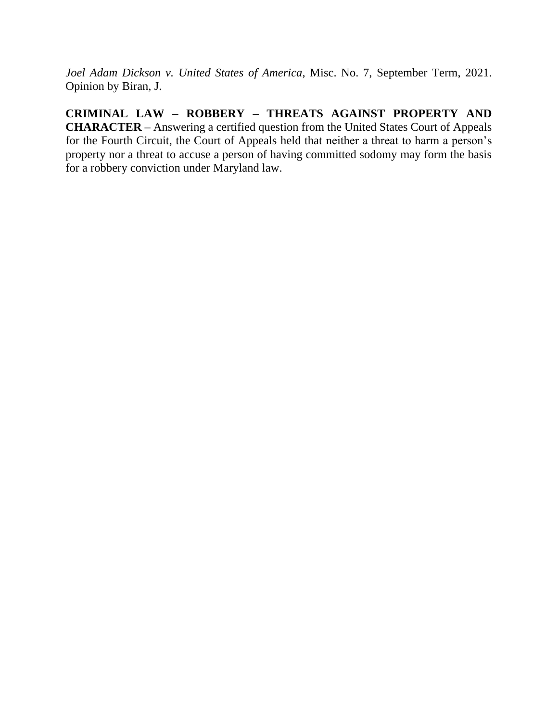*Joel Adam Dickson v. United States of America*, Misc. No. 7, September Term, 2021. Opinion by Biran, J.

**CRIMINAL LAW – ROBBERY – THREATS AGAINST PROPERTY AND CHARACTER –** Answering a certified question from the United States Court of Appeals for the Fourth Circuit, the Court of Appeals held that neither a threat to harm a person's property nor a threat to accuse a person of having committed sodomy may form the basis for a robbery conviction under Maryland law.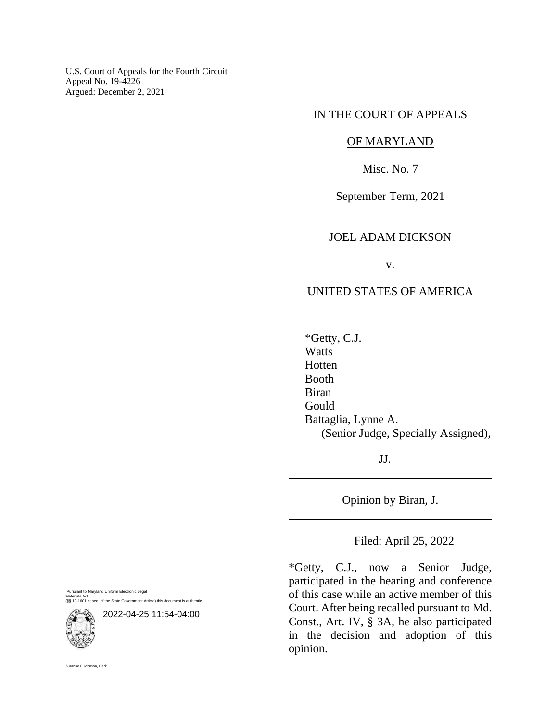U.S. Court of Appeals for the Fourth Circuit Appeal No. 19-4226 Argued: December 2, 2021

#### IN THE COURT OF APPEALS

## OF MARYLAND

Misc. No. 7

September Term, 2021

## JOEL ADAM DICKSON

v.

#### UNITED STATES OF AMERICA

\*Getty, C.J. **Watts Hotten** Booth Biran Gould Battaglia, Lynne A. (Senior Judge, Specially Assigned),

JJ.

Opinion by Biran, J.

Filed: April 25, 2022

\*Getty, C.J., now a Senior Judge, participated in the hearing and conference of this case while an active member of this Court. After being recalled pursuant to Md. Const., Art. IV, § 3A, he also participated in the decision and adoption of this opinion.

Pursuant to Maryland Uniform Electronic Legal Materials Act (§§ 10-1601 et seq. of the State Government Article) this document is authentic.



Suzanne C. Johnson, Clerk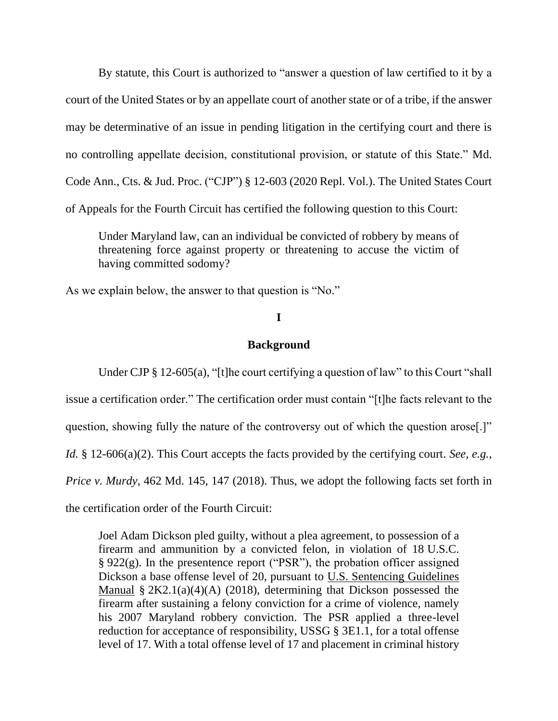By statute, this Court is authorized to "answer a question of law certified to it by a court of the United States or by an appellate court of another state or of a tribe, if the answer may be determinative of an issue in pending litigation in the certifying court and there is no controlling appellate decision, constitutional provision, or statute of this State." Md. Code Ann., Cts. & Jud. Proc. ("CJP") § 12-603 (2020 Repl. Vol.). The United States Court of Appeals for the Fourth Circuit has certified the following question to this Court:

Under Maryland law, can an individual be convicted of robbery by means of threatening force against property or threatening to accuse the victim of having committed sodomy?

As we explain below, the answer to that question is "No."

## **I**

#### **Background**

Under CJP § 12-605(a), "[t]he court certifying a question of law" to this Court "shall issue a certification order." The certification order must contain "[t]he facts relevant to the question, showing fully the nature of the controversy out of which the question arose[.]" *Id.* § 12-606(a)(2). This Court accepts the facts provided by the certifying court. *See, e.g.*, *Price v. Murdy*, 462 Md. 145, 147 (2018). Thus, we adopt the following facts set forth in the certification order of the Fourth Circuit:

Joel Adam Dickson pled guilty, without a plea agreement, to possession of a firearm and ammunition by a convicted felon, in violation of 18 U.S.C. § 922(g). In the presentence report ("PSR"), the probation officer assigned Dickson a base offense level of 20, pursuant to U.S. Sentencing Guidelines Manual  $\S 2K2.1(a)(4)(A)$  (2018), determining that Dickson possessed the firearm after sustaining a felony conviction for a crime of violence, namely his 2007 Maryland robbery conviction. The PSR applied a three-level reduction for acceptance of responsibility, USSG § 3E1.1, for a total offense level of 17. With a total offense level of 17 and placement in criminal history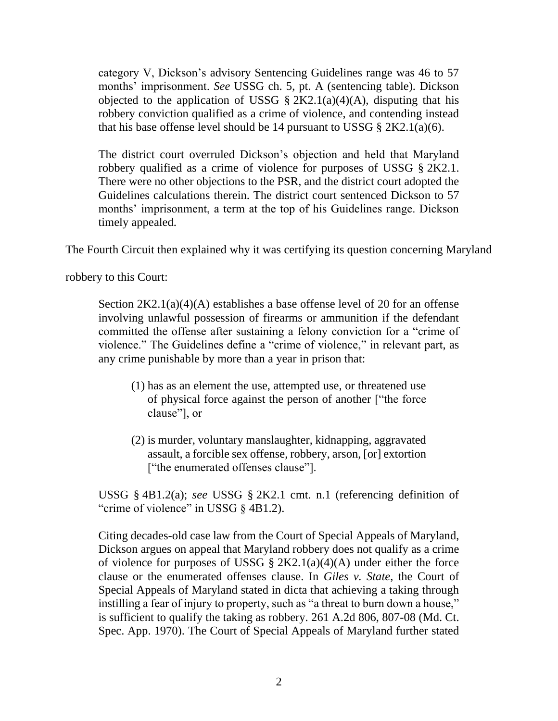category V, Dickson's advisory Sentencing Guidelines range was 46 to 57 months' imprisonment. *See* USSG ch. 5, pt. A (sentencing table). Dickson objected to the application of USSG  $\S 2K2.1(a)(4)(A)$ , disputing that his robbery conviction qualified as a crime of violence, and contending instead that his base offense level should be 14 pursuant to USSG  $\S 2K2.1(a)(6)$ .

The district court overruled Dickson's objection and held that Maryland robbery qualified as a crime of violence for purposes of USSG § 2K2.1. There were no other objections to the PSR, and the district court adopted the Guidelines calculations therein. The district court sentenced Dickson to 57 months' imprisonment, a term at the top of his Guidelines range. Dickson timely appealed.

The Fourth Circuit then explained why it was certifying its question concerning Maryland

robbery to this Court:

Section 2K2.1(a)(4)(A) establishes a base offense level of 20 for an offense involving unlawful possession of firearms or ammunition if the defendant committed the offense after sustaining a felony conviction for a "crime of violence." The Guidelines define a "crime of violence," in relevant part, as any crime punishable by more than a year in prison that:

- (1) has as an element the use, attempted use, or threatened use of physical force against the person of another ["the force clause"], or
- (2) is murder, voluntary manslaughter, kidnapping, aggravated assault, a forcible sex offense, robbery, arson, [or] extortion ["the enumerated offenses clause"].

USSG § 4B1.2(a); *see* USSG § 2K2.1 cmt. n.1 (referencing definition of "crime of violence" in USSG § 4B1.2).

Citing decades-old case law from the Court of Special Appeals of Maryland, Dickson argues on appeal that Maryland robbery does not qualify as a crime of violence for purposes of USSG  $\S 2K2.1(a)(4)(A)$  under either the force clause or the enumerated offenses clause. In *Giles v. State*, the Court of Special Appeals of Maryland stated in dicta that achieving a taking through instilling a fear of injury to property, such as "a threat to burn down a house," is sufficient to qualify the taking as robbery. 261 A.2d 806, 807-08 (Md. Ct. Spec. App. 1970). The Court of Special Appeals of Maryland further stated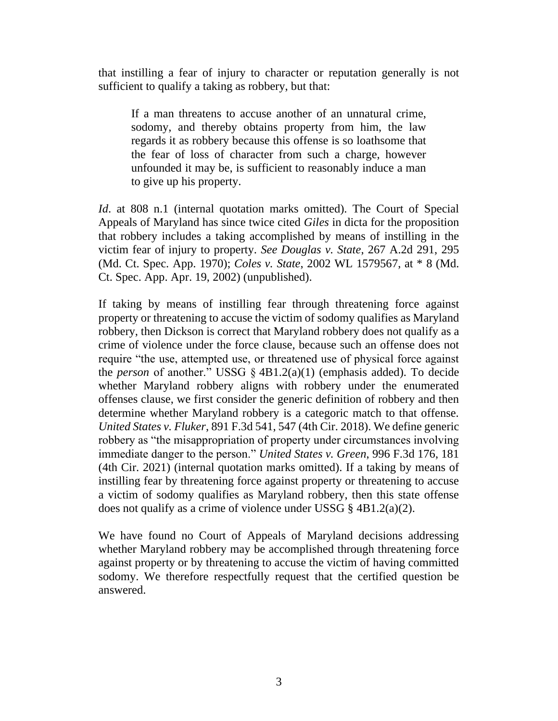that instilling a fear of injury to character or reputation generally is not sufficient to qualify a taking as robbery, but that:

If a man threatens to accuse another of an unnatural crime, sodomy, and thereby obtains property from him, the law regards it as robbery because this offense is so loathsome that the fear of loss of character from such a charge, however unfounded it may be, is sufficient to reasonably induce a man to give up his property.

*Id*. at 808 n.1 (internal quotation marks omitted). The Court of Special Appeals of Maryland has since twice cited *Giles* in dicta for the proposition that robbery includes a taking accomplished by means of instilling in the victim fear of injury to property. *See Douglas v. State*, 267 A.2d 291, 295 (Md. Ct. Spec. App. 1970); *Coles v. State*, 2002 WL 1579567, at \* 8 (Md. Ct. Spec. App. Apr. 19, 2002) (unpublished).

If taking by means of instilling fear through threatening force against property or threatening to accuse the victim of sodomy qualifies as Maryland robbery, then Dickson is correct that Maryland robbery does not qualify as a crime of violence under the force clause, because such an offense does not require "the use, attempted use, or threatened use of physical force against the *person* of another." USSG § 4B1.2(a)(1) (emphasis added). To decide whether Maryland robbery aligns with robbery under the enumerated offenses clause, we first consider the generic definition of robbery and then determine whether Maryland robbery is a categoric match to that offense. *United States v. Fluker*, 891 F.3d 541, 547 (4th Cir. 2018). We define generic robbery as "the misappropriation of property under circumstances involving immediate danger to the person." *United States v. Green*, 996 F.3d 176, 181 (4th Cir. 2021) (internal quotation marks omitted). If a taking by means of instilling fear by threatening force against property or threatening to accuse a victim of sodomy qualifies as Maryland robbery, then this state offense does not qualify as a crime of violence under USSG  $\S$  4B1.2(a)(2).

We have found no Court of Appeals of Maryland decisions addressing whether Maryland robbery may be accomplished through threatening force against property or by threatening to accuse the victim of having committed sodomy. We therefore respectfully request that the certified question be answered.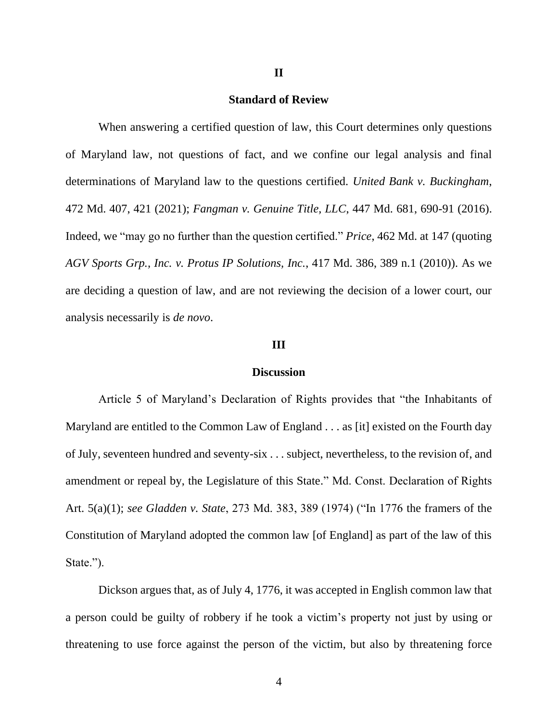#### **II**

#### **Standard of Review**

When answering a certified question of law, this Court determines only questions of Maryland law, not questions of fact, and we confine our legal analysis and final determinations of Maryland law to the questions certified. *United Bank v. Buckingham*, 472 Md. 407, 421 (2021); *Fangman v. Genuine Title, LLC*, 447 Md. 681, 690-91 (2016). Indeed, we "may go no further than the question certified." *Price*, 462 Md. at 147 (quoting *AGV Sports Grp., Inc. v. Protus IP Solutions, Inc.*, 417 Md. 386, 389 n.1 (2010)). As we are deciding a question of law, and are not reviewing the decision of a lower court, our analysis necessarily is *de novo*.

#### **III**

#### **Discussion**

Article 5 of Maryland's Declaration of Rights provides that "the Inhabitants of Maryland are entitled to the Common Law of England . . . as [it] existed on the Fourth day of July, seventeen hundred and seventy-six . . . subject, nevertheless, to the revision of, and amendment or repeal by, the Legislature of this State." Md. Const. Declaration of Rights Art. 5(a)(1); *see Gladden v. State*, 273 Md. 383, 389 (1974) ("In 1776 the framers of the Constitution of Maryland adopted the common law [of England] as part of the law of this State.").

Dickson argues that, as of July 4, 1776, it was accepted in English common law that a person could be guilty of robbery if he took a victim's property not just by using or threatening to use force against the person of the victim, but also by threatening force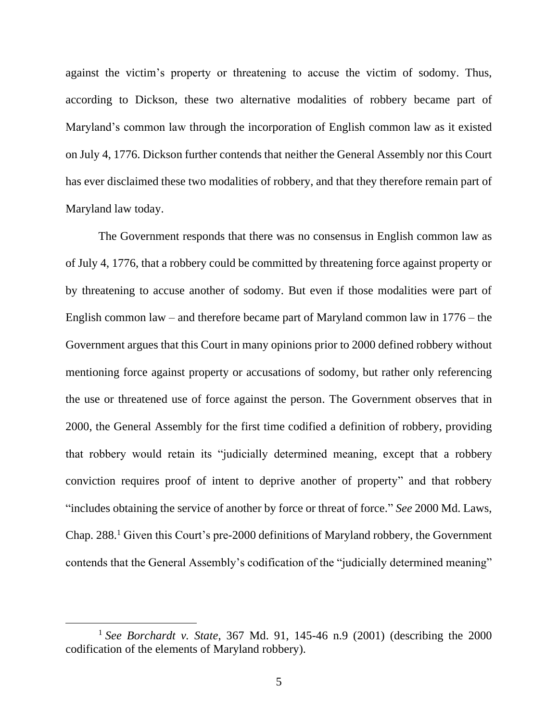against the victim's property or threatening to accuse the victim of sodomy. Thus, according to Dickson, these two alternative modalities of robbery became part of Maryland's common law through the incorporation of English common law as it existed on July 4, 1776. Dickson further contends that neither the General Assembly nor this Court has ever disclaimed these two modalities of robbery, and that they therefore remain part of Maryland law today.

The Government responds that there was no consensus in English common law as of July 4, 1776, that a robbery could be committed by threatening force against property or by threatening to accuse another of sodomy. But even if those modalities were part of English common law – and therefore became part of Maryland common law in 1776 – the Government argues that this Court in many opinions prior to 2000 defined robbery without mentioning force against property or accusations of sodomy, but rather only referencing the use or threatened use of force against the person. The Government observes that in 2000, the General Assembly for the first time codified a definition of robbery, providing that robbery would retain its "judicially determined meaning, except that a robbery conviction requires proof of intent to deprive another of property" and that robbery "includes obtaining the service of another by force or threat of force." *See* 2000 Md. Laws, Chap. 288. <sup>1</sup> Given this Court's pre-2000 definitions of Maryland robbery, the Government contends that the General Assembly's codification of the "judicially determined meaning"

<sup>1</sup> *See Borchardt v. State*, 367 Md. 91, 145-46 n.9 (2001) (describing the 2000 codification of the elements of Maryland robbery).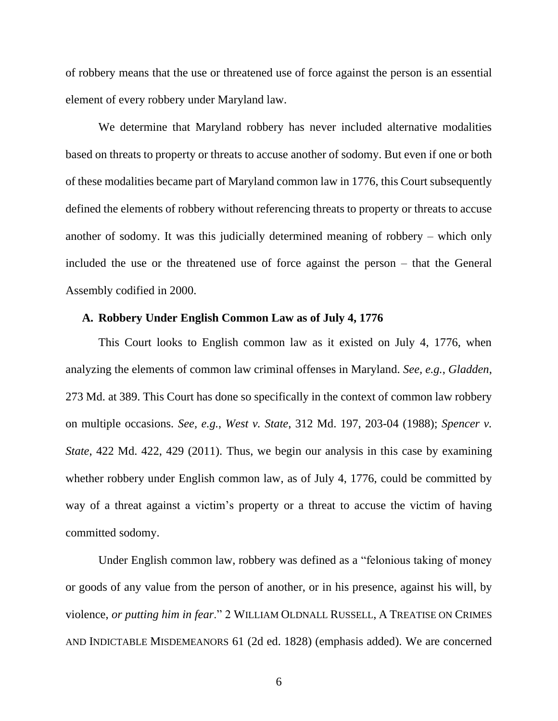of robbery means that the use or threatened use of force against the person is an essential element of every robbery under Maryland law.

We determine that Maryland robbery has never included alternative modalities based on threats to property or threats to accuse another of sodomy. But even if one or both of these modalities became part of Maryland common law in 1776, this Court subsequently defined the elements of robbery without referencing threats to property or threats to accuse another of sodomy. It was this judicially determined meaning of robbery – which only included the use or the threatened use of force against the person – that the General Assembly codified in 2000.

#### **A. Robbery Under English Common Law as of July 4, 1776**

This Court looks to English common law as it existed on July 4, 1776, when analyzing the elements of common law criminal offenses in Maryland. *See, e.g.*, *Gladden*, 273 Md. at 389. This Court has done so specifically in the context of common law robbery on multiple occasions. *See, e.g.*, *West v. State*, 312 Md. 197, 203-04 (1988); *Spencer v. State*, 422 Md. 422, 429 (2011). Thus, we begin our analysis in this case by examining whether robbery under English common law, as of July 4, 1776, could be committed by way of a threat against a victim's property or a threat to accuse the victim of having committed sodomy.

Under English common law, robbery was defined as a "felonious taking of money or goods of any value from the person of another, or in his presence, against his will, by violence, *or putting him in fear*." 2 WILLIAM OLDNALL RUSSELL, A TREATISE ON CRIMES AND INDICTABLE MISDEMEANORS 61 (2d ed. 1828) (emphasis added). We are concerned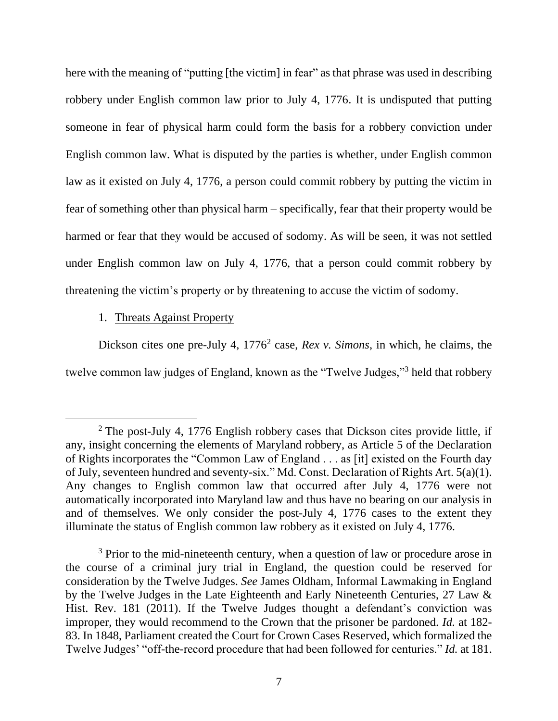here with the meaning of "putting [the victim] in fear" as that phrase was used in describing robbery under English common law prior to July 4, 1776. It is undisputed that putting someone in fear of physical harm could form the basis for a robbery conviction under English common law. What is disputed by the parties is whether, under English common law as it existed on July 4, 1776, a person could commit robbery by putting the victim in fear of something other than physical harm – specifically, fear that their property would be harmed or fear that they would be accused of sodomy. As will be seen, it was not settled under English common law on July 4, 1776, that a person could commit robbery by threatening the victim's property or by threatening to accuse the victim of sodomy.

#### 1. Threats Against Property

Dickson cites one pre-July 4, 1776<sup>2</sup> case, *Rex v. Simons*, in which, he claims, the twelve common law judges of England, known as the "Twelve Judges,"<sup>3</sup> held that robbery

<sup>&</sup>lt;sup>2</sup> The post-July 4, 1776 English robbery cases that Dickson cites provide little, if any, insight concerning the elements of Maryland robbery, as Article 5 of the Declaration of Rights incorporates the "Common Law of England . . . as [it] existed on the Fourth day of July, seventeen hundred and seventy-six." Md. Const. Declaration of Rights Art. 5(a)(1). Any changes to English common law that occurred after July 4, 1776 were not automatically incorporated into Maryland law and thus have no bearing on our analysis in and of themselves. We only consider the post-July 4, 1776 cases to the extent they illuminate the status of English common law robbery as it existed on July 4, 1776.

<sup>&</sup>lt;sup>3</sup> Prior to the mid-nineteenth century, when a question of law or procedure arose in the course of a criminal jury trial in England, the question could be reserved for consideration by the Twelve Judges. *See* James Oldham, Informal Lawmaking in England by the Twelve Judges in the Late Eighteenth and Early Nineteenth Centuries, 27 Law & Hist. Rev. 181 (2011). If the Twelve Judges thought a defendant's conviction was improper, they would recommend to the Crown that the prisoner be pardoned. *Id.* at 182- 83. In 1848, Parliament created the Court for Crown Cases Reserved, which formalized the Twelve Judges' "off-the-record procedure that had been followed for centuries." *Id.* at 181.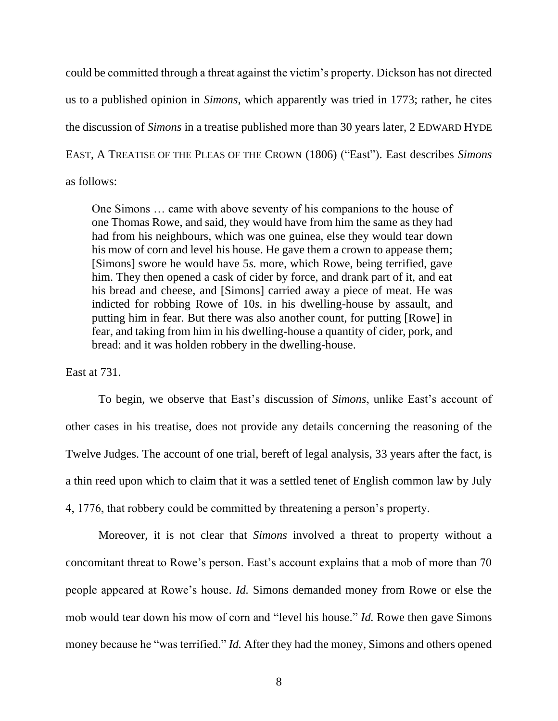could be committed through a threat against the victim's property. Dickson has not directed us to a published opinion in *Simons*, which apparently was tried in 1773; rather, he cites the discussion of *Simons* in a treatise published more than 30 years later, 2 EDWARD HYDE EAST, A TREATISE OF THE PLEAS OF THE CROWN (1806) ("East"). East describes *Simons*  as follows:

One Simons … came with above seventy of his companions to the house of one Thomas Rowe, and said, they would have from him the same as they had had from his neighbours, which was one guinea, else they would tear down his mow of corn and level his house. He gave them a crown to appease them; [Simons] swore he would have 5*s.* more, which Rowe, being terrified, gave him. They then opened a cask of cider by force, and drank part of it, and eat his bread and cheese, and [Simons] carried away a piece of meat. He was indicted for robbing Rowe of 10*s*. in his dwelling-house by assault, and putting him in fear. But there was also another count, for putting [Rowe] in fear, and taking from him in his dwelling-house a quantity of cider, pork, and bread: and it was holden robbery in the dwelling-house.

East at 731.

To begin, we observe that East's discussion of *Simons*, unlike East's account of other cases in his treatise, does not provide any details concerning the reasoning of the Twelve Judges. The account of one trial, bereft of legal analysis, 33 years after the fact, is a thin reed upon which to claim that it was a settled tenet of English common law by July 4, 1776, that robbery could be committed by threatening a person's property.

Moreover, it is not clear that *Simons* involved a threat to property without a concomitant threat to Rowe's person. East's account explains that a mob of more than 70 people appeared at Rowe's house. *Id.* Simons demanded money from Rowe or else the mob would tear down his mow of corn and "level his house." *Id.* Rowe then gave Simons money because he "was terrified." *Id.* After they had the money, Simons and others opened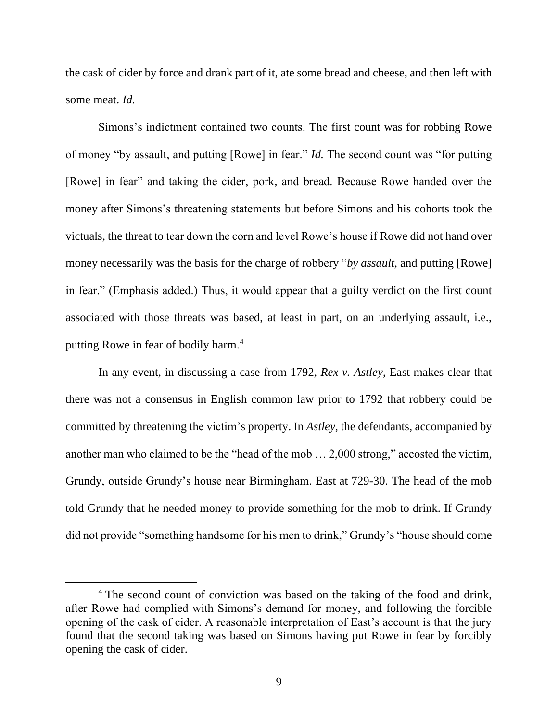the cask of cider by force and drank part of it, ate some bread and cheese, and then left with some meat. *Id.*

Simons's indictment contained two counts. The first count was for robbing Rowe of money "by assault, and putting [Rowe] in fear." *Id.* The second count was "for putting [Rowe] in fear" and taking the cider, pork, and bread. Because Rowe handed over the money after Simons's threatening statements but before Simons and his cohorts took the victuals, the threat to tear down the corn and level Rowe's house if Rowe did not hand over money necessarily was the basis for the charge of robbery "*by assault*, and putting [Rowe] in fear." (Emphasis added.) Thus, it would appear that a guilty verdict on the first count associated with those threats was based, at least in part, on an underlying assault, i.e., putting Rowe in fear of bodily harm.<sup>4</sup>

In any event, in discussing a case from 1792, *Rex v. Astley*, East makes clear that there was not a consensus in English common law prior to 1792 that robbery could be committed by threatening the victim's property. In *Astley*, the defendants, accompanied by another man who claimed to be the "head of the mob … 2,000 strong," accosted the victim, Grundy, outside Grundy's house near Birmingham. East at 729-30. The head of the mob told Grundy that he needed money to provide something for the mob to drink. If Grundy did not provide "something handsome for his men to drink," Grundy's "house should come

<sup>&</sup>lt;sup>4</sup> The second count of conviction was based on the taking of the food and drink, after Rowe had complied with Simons's demand for money, and following the forcible opening of the cask of cider. A reasonable interpretation of East's account is that the jury found that the second taking was based on Simons having put Rowe in fear by forcibly opening the cask of cider.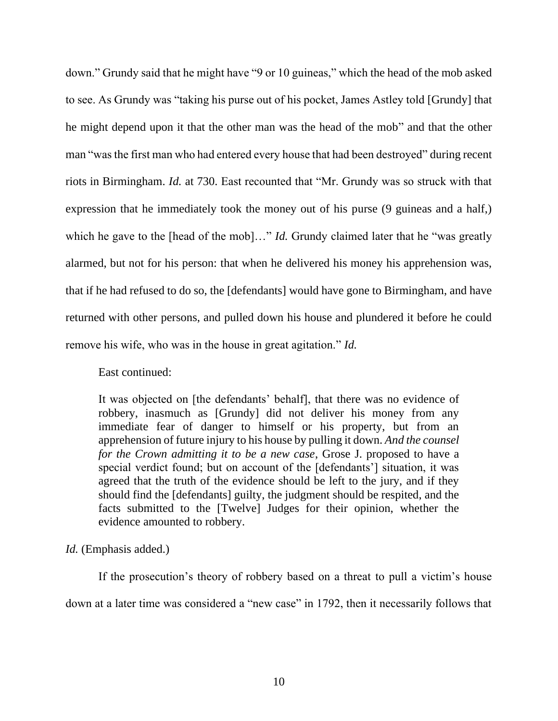down." Grundy said that he might have "9 or 10 guineas," which the head of the mob asked to see. As Grundy was "taking his purse out of his pocket, James Astley told [Grundy] that he might depend upon it that the other man was the head of the mob" and that the other man "was the first man who had entered every house that had been destroyed" during recent riots in Birmingham. *Id.* at 730. East recounted that "Mr. Grundy was so struck with that expression that he immediately took the money out of his purse (9 guineas and a half,) which he gave to the [head of the mob]..." *Id.* Grundy claimed later that he "was greatly alarmed, but not for his person: that when he delivered his money his apprehension was, that if he had refused to do so, the [defendants] would have gone to Birmingham, and have returned with other persons, and pulled down his house and plundered it before he could remove his wife, who was in the house in great agitation." *Id.* 

East continued:

It was objected on [the defendants' behalf], that there was no evidence of robbery, inasmuch as [Grundy] did not deliver his money from any immediate fear of danger to himself or his property, but from an apprehension of future injury to his house by pulling it down. *And the counsel for the Crown admitting it to be a new case*, Grose J. proposed to have a special verdict found; but on account of the [defendants'] situation, it was agreed that the truth of the evidence should be left to the jury, and if they should find the [defendants] guilty, the judgment should be respited, and the facts submitted to the [Twelve] Judges for their opinion, whether the evidence amounted to robbery.

## *Id.* (Emphasis added.)

If the prosecution's theory of robbery based on a threat to pull a victim's house down at a later time was considered a "new case" in 1792, then it necessarily follows that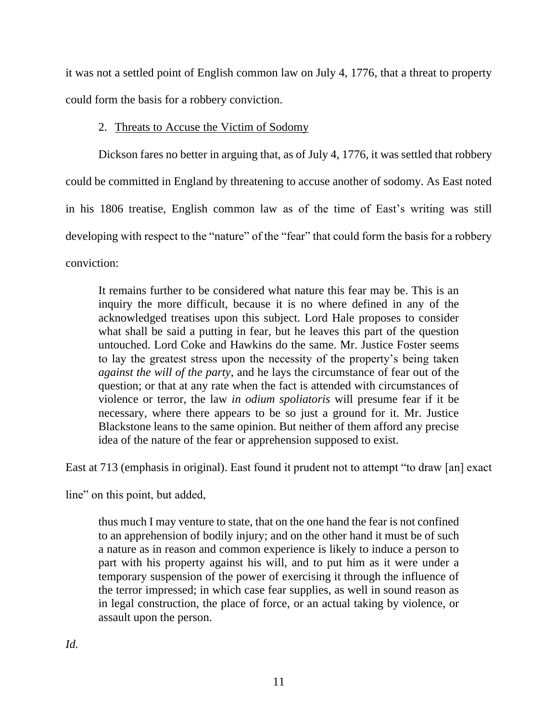it was not a settled point of English common law on July 4, 1776, that a threat to property could form the basis for a robbery conviction.

# 2. Threats to Accuse the Victim of Sodomy

Dickson fares no better in arguing that, as of July 4, 1776, it was settled that robbery could be committed in England by threatening to accuse another of sodomy. As East noted in his 1806 treatise, English common law as of the time of East's writing was still developing with respect to the "nature" of the "fear" that could form the basis for a robbery conviction:

It remains further to be considered what nature this fear may be. This is an inquiry the more difficult, because it is no where defined in any of the acknowledged treatises upon this subject. Lord Hale proposes to consider what shall be said a putting in fear, but he leaves this part of the question untouched. Lord Coke and Hawkins do the same. Mr. Justice Foster seems to lay the greatest stress upon the necessity of the property's being taken *against the will of the party*, and he lays the circumstance of fear out of the question; or that at any rate when the fact is attended with circumstances of violence or terror, the law *in odium spoliatoris* will presume fear if it be necessary, where there appears to be so just a ground for it. Mr. Justice Blackstone leans to the same opinion. But neither of them afford any precise idea of the nature of the fear or apprehension supposed to exist.

East at 713 (emphasis in original). East found it prudent not to attempt "to draw [an] exact

line" on this point, but added,

thus much I may venture to state, that on the one hand the fear is not confined to an apprehension of bodily injury; and on the other hand it must be of such a nature as in reason and common experience is likely to induce a person to part with his property against his will, and to put him as it were under a temporary suspension of the power of exercising it through the influence of the terror impressed; in which case fear supplies, as well in sound reason as in legal construction, the place of force, or an actual taking by violence, or assault upon the person.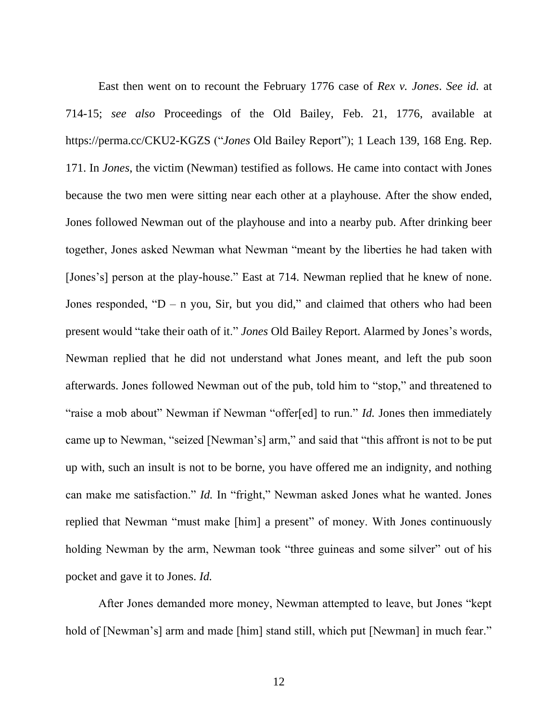East then went on to recount the February 1776 case of *Rex v. Jones*. *See id.* at 714-15; *see also* Proceedings of the Old Bailey, Feb. 21, 1776, available at <https://perma.cc/CKU2-KGZS> ("*Jones* Old Bailey Report"); 1 Leach 139, 168 Eng. Rep. 171. In *Jones*, the victim (Newman) testified as follows. He came into contact with Jones because the two men were sitting near each other at a playhouse. After the show ended, Jones followed Newman out of the playhouse and into a nearby pub. After drinking beer together, Jones asked Newman what Newman "meant by the liberties he had taken with [Jones's] person at the play-house." East at 714. Newman replied that he knew of none. Jones responded, " $D - n$  you, Sir, but you did," and claimed that others who had been present would "take their oath of it." *Jones* Old Bailey Report. Alarmed by Jones's words, Newman replied that he did not understand what Jones meant, and left the pub soon afterwards. Jones followed Newman out of the pub, told him to "stop," and threatened to "raise a mob about" Newman if Newman "offer[ed] to run." *Id.* Jones then immediately came up to Newman, "seized [Newman's] arm," and said that "this affront is not to be put up with, such an insult is not to be borne, you have offered me an indignity, and nothing can make me satisfaction." *Id.* In "fright," Newman asked Jones what he wanted. Jones replied that Newman "must make [him] a present" of money. With Jones continuously holding Newman by the arm, Newman took "three guineas and some silver" out of his pocket and gave it to Jones. *Id.*

After Jones demanded more money, Newman attempted to leave, but Jones "kept hold of [Newman's] arm and made [him] stand still, which put [Newman] in much fear."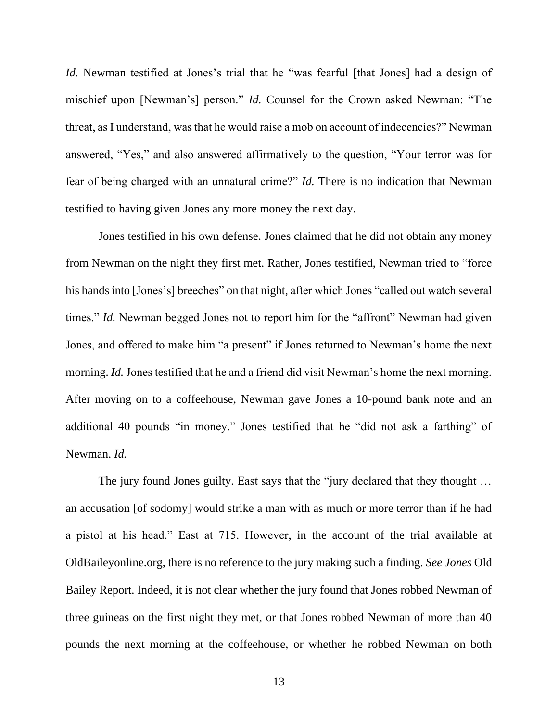*Id.* Newman testified at Jones's trial that he "was fearful [that Jones] had a design of mischief upon [Newman's] person." *Id.* Counsel for the Crown asked Newman: "The threat, as I understand, was that he would raise a mob on account of indecencies?" Newman answered, "Yes," and also answered affirmatively to the question, "Your terror was for fear of being charged with an unnatural crime?" *Id.* There is no indication that Newman testified to having given Jones any more money the next day.

Jones testified in his own defense. Jones claimed that he did not obtain any money from Newman on the night they first met. Rather, Jones testified, Newman tried to "force his hands into [Jones's] breeches" on that night, after which Jones "called out watch several times." *Id.* Newman begged Jones not to report him for the "affront" Newman had given Jones, and offered to make him "a present" if Jones returned to Newman's home the next morning. *Id.* Jones testified that he and a friend did visit Newman's home the next morning. After moving on to a coffeehouse, Newman gave Jones a 10-pound bank note and an additional 40 pounds "in money." Jones testified that he "did not ask a farthing" of Newman. *Id.*

The jury found Jones guilty. East says that the "jury declared that they thought ... an accusation [of sodomy] would strike a man with as much or more terror than if he had a pistol at his head." East at 715. However, in the account of the trial available at OldBaileyonline.org, there is no reference to the jury making such a finding. *See Jones* Old Bailey Report. Indeed, it is not clear whether the jury found that Jones robbed Newman of three guineas on the first night they met, or that Jones robbed Newman of more than 40 pounds the next morning at the coffeehouse, or whether he robbed Newman on both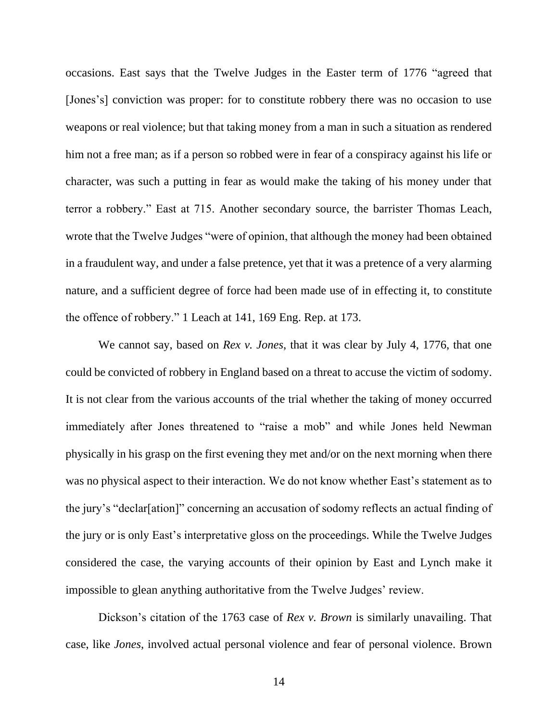occasions. East says that the Twelve Judges in the Easter term of 1776 "agreed that [Jones's] conviction was proper: for to constitute robbery there was no occasion to use weapons or real violence; but that taking money from a man in such a situation as rendered him not a free man; as if a person so robbed were in fear of a conspiracy against his life or character, was such a putting in fear as would make the taking of his money under that terror a robbery." East at 715. Another secondary source, the barrister Thomas Leach, wrote that the Twelve Judges "were of opinion, that although the money had been obtained in a fraudulent way, and under a false pretence, yet that it was a pretence of a very alarming nature, and a sufficient degree of force had been made use of in effecting it, to constitute the offence of robbery." 1 Leach at 141, 169 Eng. Rep. at 173.

We cannot say, based on *Rex v. Jones*, that it was clear by July 4, 1776, that one could be convicted of robbery in England based on a threat to accuse the victim of sodomy. It is not clear from the various accounts of the trial whether the taking of money occurred immediately after Jones threatened to "raise a mob" and while Jones held Newman physically in his grasp on the first evening they met and/or on the next morning when there was no physical aspect to their interaction. We do not know whether East's statement as to the jury's "declar[ation]" concerning an accusation of sodomy reflects an actual finding of the jury or is only East's interpretative gloss on the proceedings. While the Twelve Judges considered the case, the varying accounts of their opinion by East and Lynch make it impossible to glean anything authoritative from the Twelve Judges' review.

Dickson's citation of the 1763 case of *Rex v. Brown* is similarly unavailing. That case, like *Jones*, involved actual personal violence and fear of personal violence. Brown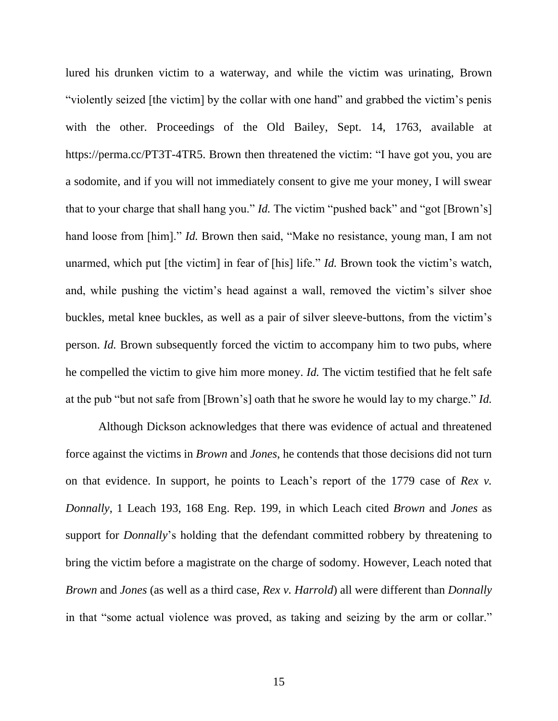lured his drunken victim to a waterway, and while the victim was urinating, Brown "violently seized [the victim] by the collar with one hand" and grabbed the victim's penis with the other. Proceedings of the Old Bailey, Sept. 14, 1763, available at [https://perma.cc/PT3T-4TR5.](https://perma.cc/PT3T-4TR5) Brown then threatened the victim: "I have got you, you are a sodomite, and if you will not immediately consent to give me your money, I will swear that to your charge that shall hang you." *Id.* The victim "pushed back" and "got [Brown's] hand loose from [him]." *Id.* Brown then said, "Make no resistance, young man, I am not unarmed, which put [the victim] in fear of [his] life." *Id.* Brown took the victim's watch, and, while pushing the victim's head against a wall, removed the victim's silver shoe buckles, metal knee buckles, as well as a pair of silver sleeve-buttons, from the victim's person. *Id.* Brown subsequently forced the victim to accompany him to two pubs, where he compelled the victim to give him more money. *Id.* The victim testified that he felt safe at the pub "but not safe from [Brown's] oath that he swore he would lay to my charge." *Id.*

Although Dickson acknowledges that there was evidence of actual and threatened force against the victims in *Brown* and *Jones*, he contends that those decisions did not turn on that evidence. In support, he points to Leach's report of the 1779 case of *Rex v. Donnally*, 1 Leach 193, 168 Eng. Rep. 199, in which Leach cited *Brown* and *Jones* as support for *Donnally*'s holding that the defendant committed robbery by threatening to bring the victim before a magistrate on the charge of sodomy. However, Leach noted that *Brown* and *Jones* (as well as a third case, *Rex v. Harrold*) all were different than *Donnally* in that "some actual violence was proved, as taking and seizing by the arm or collar."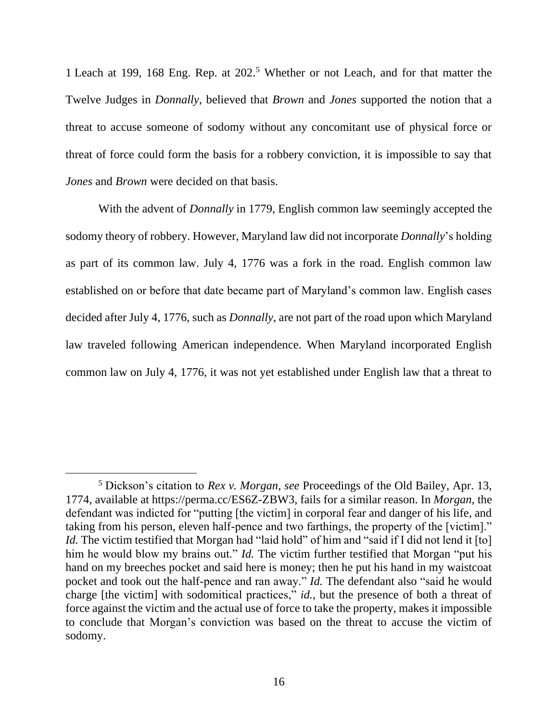1 Leach at 199, 168 Eng. Rep. at 202.<sup>5</sup> Whether or not Leach, and for that matter the Twelve Judges in *Donnally*, believed that *Brown* and *Jones* supported the notion that a threat to accuse someone of sodomy without any concomitant use of physical force or threat of force could form the basis for a robbery conviction, it is impossible to say that *Jones* and *Brown* were decided on that basis.

With the advent of *Donnally* in 1779, English common law seemingly accepted the sodomy theory of robbery. However, Maryland law did not incorporate *Donnally*'s holding as part of its common law. July 4, 1776 was a fork in the road. English common law established on or before that date became part of Maryland's common law. English cases decided after July 4, 1776, such as *Donnally*, are not part of the road upon which Maryland law traveled following American independence. When Maryland incorporated English common law on July 4, 1776, it was not yet established under English law that a threat to

<sup>5</sup> Dickson's citation to *Rex v. Morgan*, *see* Proceedings of the Old Bailey, Apr. 13, 1774, available at [https://perma.cc/ES6Z-ZBW3,](https://perma.cc/ES6Z-ZBW3) fails for a similar reason. In *Morgan*, the defendant was indicted for "putting [the victim] in corporal fear and danger of his life, and taking from his person, eleven half-pence and two farthings, the property of the [victim]." *Id.* The victim testified that Morgan had "laid hold" of him and "said if I did not lend it [to] him he would blow my brains out." *Id.* The victim further testified that Morgan "put his hand on my breeches pocket and said here is money; then he put his hand in my waistcoat pocket and took out the half-pence and ran away." *Id.* The defendant also "said he would charge [the victim] with sodomitical practices," *id.*, but the presence of both a threat of force against the victim and the actual use of force to take the property, makes it impossible to conclude that Morgan's conviction was based on the threat to accuse the victim of sodomy.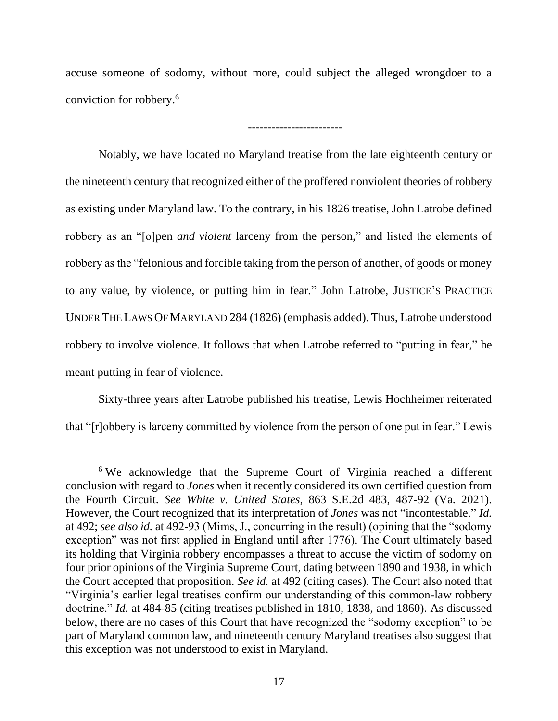accuse someone of sodomy, without more, could subject the alleged wrongdoer to a conviction for robbery.<sup>6</sup>

------------------------

Notably, we have located no Maryland treatise from the late eighteenth century or the nineteenth century that recognized either of the proffered nonviolent theories of robbery as existing under Maryland law. To the contrary, in his 1826 treatise, John Latrobe defined robbery as an "[o]pen *and violent* larceny from the person," and listed the elements of robbery as the "felonious and forcible taking from the person of another, of goods or money to any value, by violence, or putting him in fear." John Latrobe, JUSTICE'S PRACTICE UNDER THE LAWS OF MARYLAND 284 (1826) (emphasis added). Thus, Latrobe understood robbery to involve violence. It follows that when Latrobe referred to "putting in fear," he meant putting in fear of violence.

Sixty-three years after Latrobe published his treatise, Lewis Hochheimer reiterated that "[r]obbery is larceny committed by violence from the person of one put in fear." Lewis

<sup>&</sup>lt;sup>6</sup> We acknowledge that the Supreme Court of Virginia reached a different conclusion with regard to *Jones* when it recently considered its own certified question from the Fourth Circuit. *See White v. United States*, 863 S.E.2d 483, 487-92 (Va. 2021). However, the Court recognized that its interpretation of *Jones* was not "incontestable." *Id.*  at 492; *see also id.* at 492-93 (Mims, J., concurring in the result) (opining that the "sodomy exception" was not first applied in England until after 1776). The Court ultimately based its holding that Virginia robbery encompasses a threat to accuse the victim of sodomy on four prior opinions of the Virginia Supreme Court, dating between 1890 and 1938, in which the Court accepted that proposition. *See id.* at 492 (citing cases). The Court also noted that "Virginia's earlier legal treatises confirm our understanding of this common-law robbery doctrine." *Id.* at 484-85 (citing treatises published in 1810, 1838, and 1860). As discussed below, there are no cases of this Court that have recognized the "sodomy exception" to be part of Maryland common law, and nineteenth century Maryland treatises also suggest that this exception was not understood to exist in Maryland.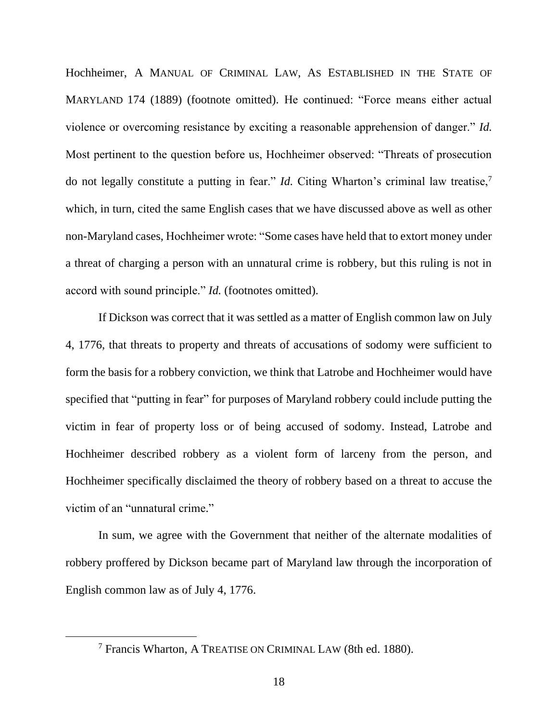Hochheimer, A MANUAL OF CRIMINAL LAW, AS ESTABLISHED IN THE STATE OF MARYLAND 174 (1889) (footnote omitted). He continued: "Force means either actual violence or overcoming resistance by exciting a reasonable apprehension of danger." *Id.*  Most pertinent to the question before us, Hochheimer observed: "Threats of prosecution do not legally constitute a putting in fear." *Id.* Citing Wharton's criminal law treatise,<sup>7</sup> which, in turn, cited the same English cases that we have discussed above as well as other non-Maryland cases, Hochheimer wrote: "Some cases have held that to extort money under a threat of charging a person with an unnatural crime is robbery, but this ruling is not in accord with sound principle." *Id.* (footnotes omitted).

If Dickson was correct that it was settled as a matter of English common law on July 4, 1776, that threats to property and threats of accusations of sodomy were sufficient to form the basis for a robbery conviction, we think that Latrobe and Hochheimer would have specified that "putting in fear" for purposes of Maryland robbery could include putting the victim in fear of property loss or of being accused of sodomy. Instead, Latrobe and Hochheimer described robbery as a violent form of larceny from the person, and Hochheimer specifically disclaimed the theory of robbery based on a threat to accuse the victim of an "unnatural crime."

In sum, we agree with the Government that neither of the alternate modalities of robbery proffered by Dickson became part of Maryland law through the incorporation of English common law as of July 4, 1776.

<sup>7</sup> Francis Wharton, A TREATISE ON CRIMINAL LAW (8th ed. 1880).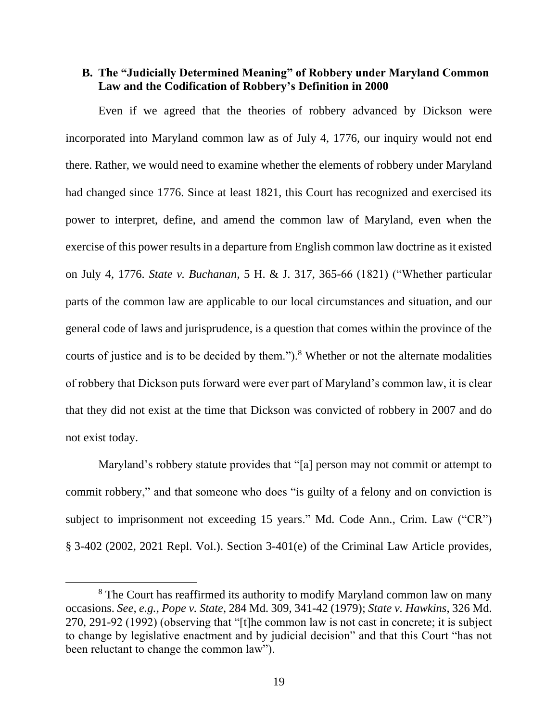## **B. The "Judicially Determined Meaning" of Robbery under Maryland Common Law and the Codification of Robbery's Definition in 2000**

Even if we agreed that the theories of robbery advanced by Dickson were incorporated into Maryland common law as of July 4, 1776, our inquiry would not end there. Rather, we would need to examine whether the elements of robbery under Maryland had changed since 1776. Since at least 1821, this Court has recognized and exercised its power to interpret, define, and amend the common law of Maryland, even when the exercise of this power results in a departure from English common law doctrine as it existed on July 4, 1776. *State v. Buchanan*, 5 H. & J. 317, 365-66 (1821) ("Whether particular parts of the common law are applicable to our local circumstances and situation, and our general code of laws and jurisprudence, is a question that comes within the province of the courts of justice and is to be decided by them.").<sup>8</sup> Whether or not the alternate modalities of robbery that Dickson puts forward were ever part of Maryland's common law, it is clear that they did not exist at the time that Dickson was convicted of robbery in 2007 and do not exist today.

Maryland's robbery statute provides that "[a] person may not commit or attempt to commit robbery," and that someone who does "is guilty of a felony and on conviction is subject to imprisonment not exceeding 15 years." Md. Code Ann., Crim. Law ("CR") § 3-402 (2002, 2021 Repl. Vol.). Section 3-401(e) of the Criminal Law Article provides,

<sup>&</sup>lt;sup>8</sup> The Court has reaffirmed its authority to modify Maryland common law on many occasions. *See, e.g.*, *Pope v. State*, 284 Md. 309, 341-42 (1979); *State v. Hawkins*, 326 Md. 270, 291-92 (1992) (observing that "[t]he common law is not cast in concrete; it is subject to change by legislative enactment and by judicial decision" and that this Court "has not been reluctant to change the common law").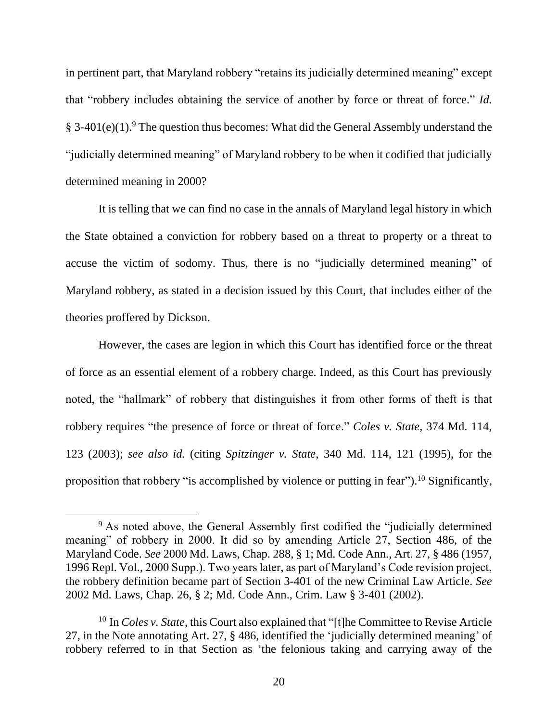in pertinent part, that Maryland robbery "retains its judicially determined meaning" except that "robbery includes obtaining the service of another by force or threat of force." *Id.*   $§$  3-401(e)(1).<sup>9</sup> The question thus becomes: What did the General Assembly understand the "judicially determined meaning" of Maryland robbery to be when it codified that judicially determined meaning in 2000?

It is telling that we can find no case in the annals of Maryland legal history in which the State obtained a conviction for robbery based on a threat to property or a threat to accuse the victim of sodomy. Thus, there is no "judicially determined meaning" of Maryland robbery, as stated in a decision issued by this Court, that includes either of the theories proffered by Dickson.

However, the cases are legion in which this Court has identified force or the threat of force as an essential element of a robbery charge. Indeed, as this Court has previously noted, the "hallmark" of robbery that distinguishes it from other forms of theft is that robbery requires "the presence of force or threat of force." *Coles v. State*, 374 Md. 114, 123 (2003); *see also id.* (citing *Spitzinger v. State*, 340 Md. 114, 121 (1995), for the proposition that robbery "is accomplished by violence or putting in fear").<sup>10</sup> Significantly,

<sup>&</sup>lt;sup>9</sup> As noted above, the General Assembly first codified the "judicially determined" meaning" of robbery in 2000. It did so by amending Article 27, Section 486, of the Maryland Code. *See* 2000 Md. Laws, Chap. 288, § 1; Md. Code Ann., Art. 27, § 486 (1957, 1996 Repl. Vol., 2000 Supp.). Two years later, as part of Maryland's Code revision project, the robbery definition became part of Section 3-401 of the new Criminal Law Article. *See*  2002 Md. Laws, Chap. 26, § 2; Md. Code Ann., Crim. Law § 3-401 (2002).

<sup>10</sup> In *Coles v. State*, this Court also explained that "[t]he Committee to Revise Article 27, in the Note annotating Art. 27, § 486, identified the 'judicially determined meaning' of robbery referred to in that Section as 'the felonious taking and carrying away of the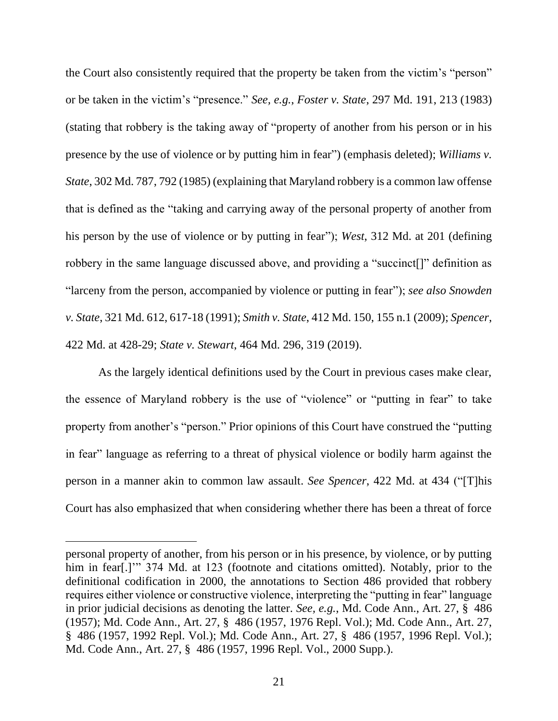the Court also consistently required that the property be taken from the victim's "person" or be taken in the victim's "presence." *See, e.g.*, *Foster v. State*, 297 Md. 191, 213 (1983) (stating that robbery is the taking away of "property of another from his person or in his presence by the use of violence or by putting him in fear") (emphasis deleted); *Williams v. State*, 302 Md. 787, 792 (1985) (explaining that Maryland robbery is a common law offense that is defined as the "taking and carrying away of the personal property of another from his person by the use of violence or by putting in fear"); *West*, 312 Md. at 201 (defining robbery in the same language discussed above, and providing a "succinct[]" definition as "larceny from the person, accompanied by violence or putting in fear"); *see also Snowden v. State*, 321 Md. 612, 617-18 (1991); *Smith v. State*, 412 Md. 150, 155 n.1 (2009); *Spencer*, 422 Md. at 428-29; *State v. Stewart*, 464 Md. 296, 319 (2019).

As the largely identical definitions used by the Court in previous cases make clear, the essence of Maryland robbery is the use of "violence" or "putting in fear" to take property from another's "person." Prior opinions of this Court have construed the "putting in fear" language as referring to a threat of physical violence or bodily harm against the person in a manner akin to common law assault. *See Spencer*, 422 Md. at 434 ("[T]his Court has also emphasized that when considering whether there has been a threat of force

personal property of another, from his person or in his presence, by violence, or by putting him in fear[.]" 374 Md. at 123 (footnote and citations omitted). Notably, prior to the definitional codification in 2000, the annotations to Section 486 provided that robbery requires either violence or constructive violence, interpreting the "putting in fear" language in prior judicial decisions as denoting the latter. *See, e.g.*, Md. Code Ann., Art. 27, § 486 (1957); Md. Code Ann., Art. 27, § 486 (1957, 1976 Repl. Vol.); Md. Code Ann., Art. 27, § 486 (1957, 1992 Repl. Vol.); Md. Code Ann., Art. 27, § 486 (1957, 1996 Repl. Vol.); Md. Code Ann., Art. 27, § 486 (1957, 1996 Repl. Vol., 2000 Supp.).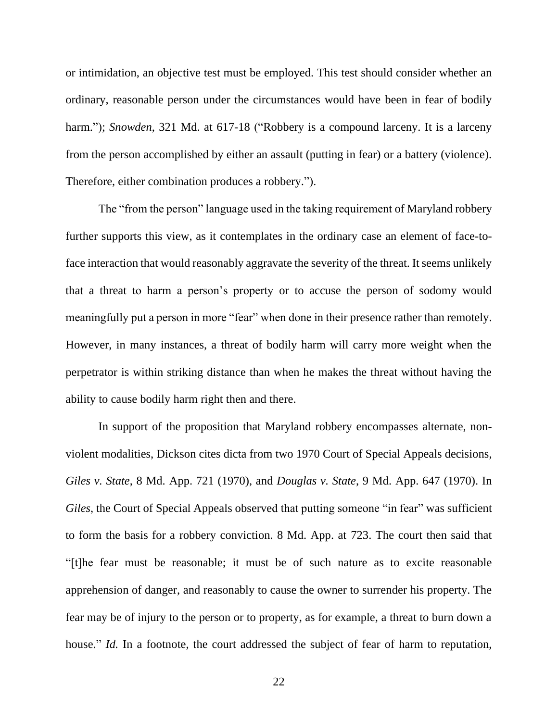or intimidation, an objective test must be employed. This test should consider whether an ordinary, reasonable person under the circumstances would have been in fear of bodily harm."); *Snowden*, 321 Md. at 617-18 ("Robbery is a compound larceny. It is a larceny from the person accomplished by either an assault (putting in fear) or a battery (violence). Therefore, either combination produces a robbery.").

The "from the person" language used in the taking requirement of Maryland robbery further supports this view, as it contemplates in the ordinary case an element of face-toface interaction that would reasonably aggravate the severity of the threat. It seems unlikely that a threat to harm a person's property or to accuse the person of sodomy would meaningfully put a person in more "fear" when done in their presence rather than remotely. However, in many instances, a threat of bodily harm will carry more weight when the perpetrator is within striking distance than when he makes the threat without having the ability to cause bodily harm right then and there.

In support of the proposition that Maryland robbery encompasses alternate, nonviolent modalities, Dickson cites dicta from two 1970 Court of Special Appeals decisions, *Giles v. State*, 8 Md. App. 721 (1970), and *Douglas v. State*, 9 Md. App. 647 (1970). In *Giles*, the Court of Special Appeals observed that putting someone "in fear" was sufficient to form the basis for a robbery conviction. 8 Md. App. at 723. The court then said that "[t]he fear must be reasonable; it must be of such nature as to excite reasonable apprehension of danger, and reasonably to cause the owner to surrender his property. The fear may be of injury to the person or to property, as for example, a threat to burn down a house." *Id.* In a footnote, the court addressed the subject of fear of harm to reputation,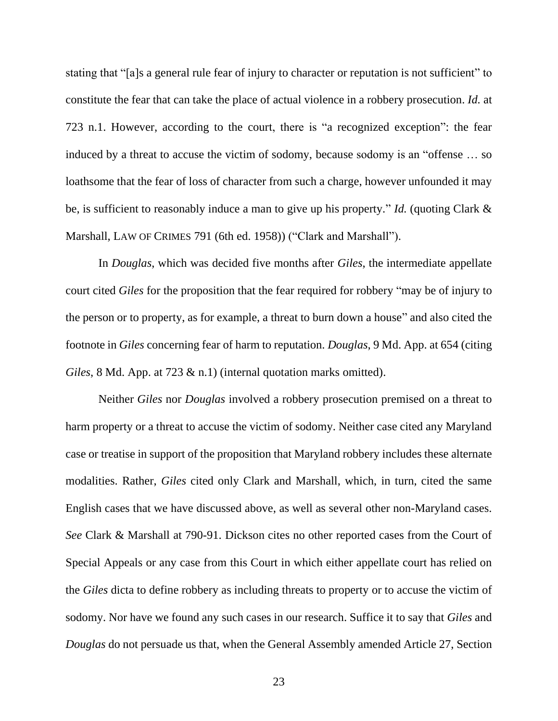stating that "[a]s a general rule fear of injury to character or reputation is not sufficient" to constitute the fear that can take the place of actual violence in a robbery prosecution. *Id.* at 723 n.1. However, according to the court, there is "a recognized exception": the fear induced by a threat to accuse the victim of sodomy, because sodomy is an "offense … so loathsome that the fear of loss of character from such a charge, however unfounded it may be, is sufficient to reasonably induce a man to give up his property." *Id.* (quoting Clark & Marshall, LAW OF CRIMES 791 (6th ed. 1958)) ("Clark and Marshall").

In *Douglas*, which was decided five months after *Giles*, the intermediate appellate court cited *Giles* for the proposition that the fear required for robbery "may be of injury to the person or to property, as for example, a threat to burn down a house" and also cited the footnote in *Giles* concerning fear of harm to reputation. *Douglas*, 9 Md. App. at 654 (citing *Giles*, 8 Md. App. at 723 & n.1) (internal quotation marks omitted).

Neither *Giles* nor *Douglas* involved a robbery prosecution premised on a threat to harm property or a threat to accuse the victim of sodomy. Neither case cited any Maryland case or treatise in support of the proposition that Maryland robbery includes these alternate modalities. Rather, *Giles* cited only Clark and Marshall, which, in turn, cited the same English cases that we have discussed above, as well as several other non-Maryland cases. *See* Clark & Marshall at 790-91. Dickson cites no other reported cases from the Court of Special Appeals or any case from this Court in which either appellate court has relied on the *Giles* dicta to define robbery as including threats to property or to accuse the victim of sodomy. Nor have we found any such cases in our research. Suffice it to say that *Giles* and *Douglas* do not persuade us that, when the General Assembly amended Article 27, Section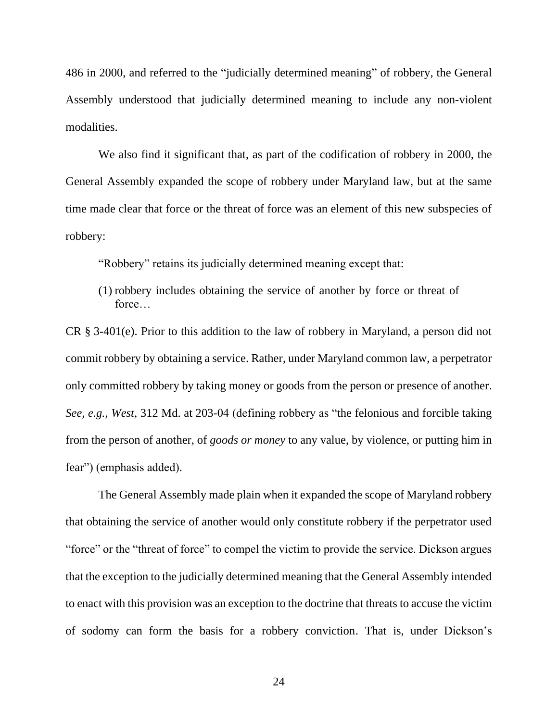486 in 2000, and referred to the "judicially determined meaning" of robbery, the General Assembly understood that judicially determined meaning to include any non-violent modalities.

We also find it significant that, as part of the codification of robbery in 2000, the General Assembly expanded the scope of robbery under Maryland law, but at the same time made clear that force or the threat of force was an element of this new subspecies of robbery:

"Robbery" retains its judicially determined meaning except that:

(1) robbery includes obtaining the service of another by force or threat of force…

CR § 3-401(e). Prior to this addition to the law of robbery in Maryland, a person did not commit robbery by obtaining a service. Rather, under Maryland common law, a perpetrator only committed robbery by taking money or goods from the person or presence of another. *See, e.g., West*, 312 Md. at 203-04 (defining robbery as "the felonious and forcible taking from the person of another, of *goods or money* to any value, by violence, or putting him in fear") (emphasis added).

The General Assembly made plain when it expanded the scope of Maryland robbery that obtaining the service of another would only constitute robbery if the perpetrator used "force" or the "threat of force" to compel the victim to provide the service. Dickson argues that the exception to the judicially determined meaning that the General Assembly intended to enact with this provision was an exception to the doctrine that threats to accuse the victim of sodomy can form the basis for a robbery conviction. That is, under Dickson's

24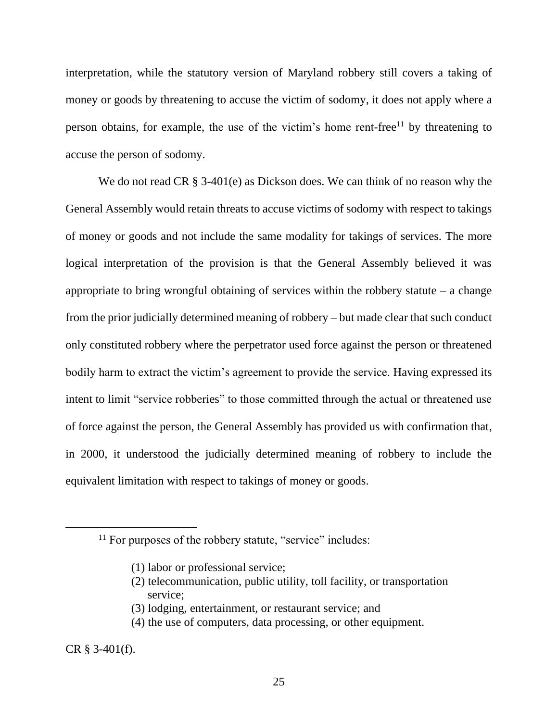interpretation, while the statutory version of Maryland robbery still covers a taking of money or goods by threatening to accuse the victim of sodomy, it does not apply where a person obtains, for example, the use of the victim's home rent-free<sup>11</sup> by threatening to accuse the person of sodomy.

We do not read CR § 3-401(e) as Dickson does. We can think of no reason why the General Assembly would retain threats to accuse victims of sodomy with respect to takings of money or goods and not include the same modality for takings of services. The more logical interpretation of the provision is that the General Assembly believed it was appropriate to bring wrongful obtaining of services within the robbery statute  $-$  a change from the prior judicially determined meaning of robbery – but made clear that such conduct only constituted robbery where the perpetrator used force against the person or threatened bodily harm to extract the victim's agreement to provide the service. Having expressed its intent to limit "service robberies" to those committed through the actual or threatened use of force against the person, the General Assembly has provided us with confirmation that, in 2000, it understood the judicially determined meaning of robbery to include the equivalent limitation with respect to takings of money or goods.

(2) telecommunication, public utility, toll facility, or transportation service;

(3) lodging, entertainment, or restaurant service; and

(4) the use of computers, data processing, or other equipment.

CR § 3-401(f).

<sup>&</sup>lt;sup>11</sup> For purposes of the robbery statute, "service" includes:

<sup>(1)</sup> labor or professional service;